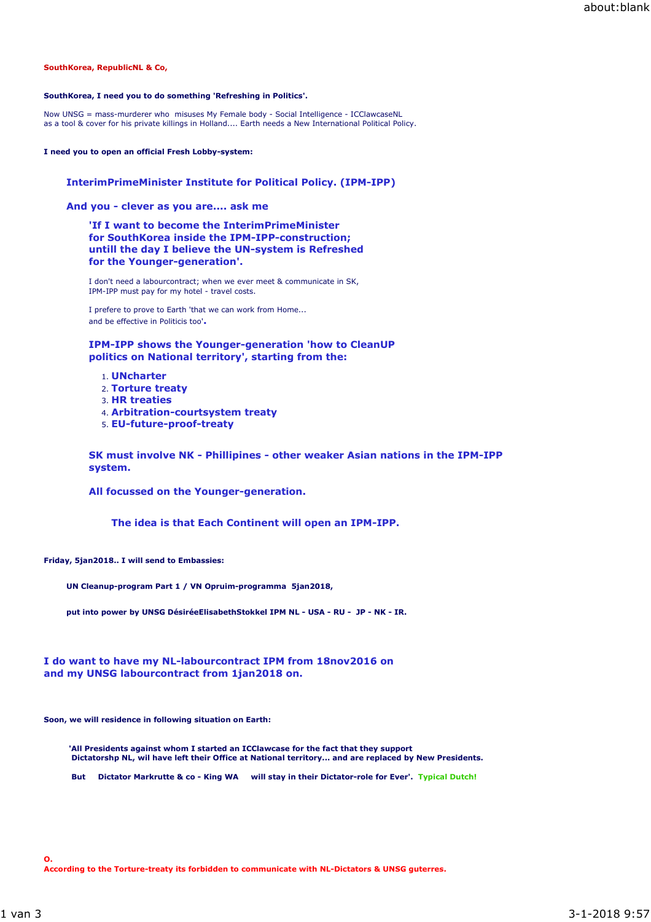# **SouthKorea, RepublicNL & Co,**

## **SouthKorea, I need you to do something 'Refreshing in Politics'.**

Now UNSG = mass-murderer who misuses My Female body - Social Intelligence - ICClawcaseNL as a tool & cover for his private killings in Holland.... Earth needs a New International Political Policy.

## **I need you to open an official Fresh Lobby-system:**

# **InterimPrimeMinister Institute for Political Policy. (IPM-IPP)**

**And you - clever as you are.... ask me**

**'If I want to become the InterimPrimeMinister for SouthKorea inside the IPM-IPP-construction; untill the day I believe the UN-system is Refreshed for the Younger-generation'.**

I don't need a labourcontract; when we ever meet & communicate in SK, IPM-IPP must pay for my hotel - travel costs.

I prefere to prove to Earth 'that we can work from Home... and be effective in Politicis too'**.** 

**IPM-IPP shows the Younger-generation 'how to CleanUP politics on National territory', starting from the:**

- 1. **UNcharter**
- 2. **Torture treaty**
- 3. **HR treaties**
- 4. **Arbitration-courtsystem treaty**
- 5. **EU-future-proof-treaty**

**SK must involve NK - Phillipines - other weaker Asian nations in the IPM-IPP system.**

**All focussed on the Younger-generation.**

**The idea is that Each Continent will open an IPM-IPP.**

**Friday, 5jan2018.. I will send to Embassies:** 

**UN Cleanup-program Part 1 / VN Opruim-programma 5jan2018,**

**put into power by UNSG DésiréeElisabethStokkel IPM NL - USA - RU - JP - NK - IR.**

# **I do want to have my NL-labourcontract IPM from 18nov2016 on and my UNSG labourcontract from 1jan2018 on.**

**Soon, we will residence in following situation on Earth:**

 **'All Presidents against whom I started an ICClawcase for the fact that they support Dictatorshp NL, wil have left their Office at National territory... and are replaced by New Presidents.**

 **But Dictator Markrutte & co - King WA will stay in their Dictator-role for Ever'. Typical Dutch!**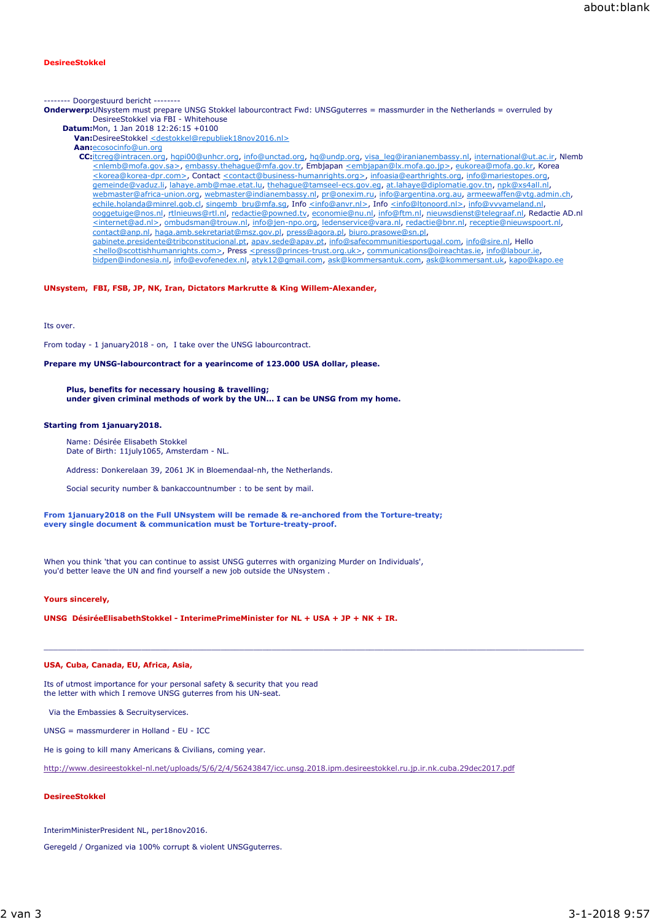# **DesireeStokkel**

-------- Doorgestuurd bericht --------

- **Onderwerp:**UNsystem must prepare UNSG Stokkel labourcontract Fwd: UNSGguterres = massmurder in the Netherlands = overruled by DesireeStokkel via FBI - Whitehouse
	- **Datum:**Mon, 1 Jan 2018 12:26:15 +0100
		- **Van:**DesireeStokkel <destokkel@republiek18nov2016.nl>
		- **Aan:**ecosocinfo@un.org

**CC:**itcreg@intracen.org, hqpi00@unhcr.org, info@unctad.org, hq@undp.org, visa\_leg@iranianembassy.nl, international@ut.ac.ir, Nlemb <nlemb@mofa.gov.sa>, embassy.thehague@mfa.gov.tr, Embjapan <embjapan@lx.mofa.go.jp>, eukorea@mofa.go.kr, Korea <korea@korea-dpr.com>, Contact <contact@business-humanrights.org>, infoasia@earthrights.org, info@mariestopes.org, gemeinde@vaduz.li, lahaye.amb@mae.etat.lu, thehague@tamseel-ecs.gov.eg, at.lahaye@diplomatie.gov.tn, npk@xs4all.nl, webmaster@africa-union.org, webmaster@indianembassy.nl, pr@onexim.ru, info@argentina.org.au, armeewaffen@vtg.admin.ch, echile.holanda@minrel.gob.cl, singemb\_bru@mfa.sg, Info <info@anvr.nl>, Info <info@ltonoord.nl>, info@vvvameland.nl ooggetuige@nos.nl, rtlnieuws@rtl.nl, redactie@powned.tv, economie@nu.nl, info@ftm.nl, nieuwsdienst@telegraaf.nl, Redactie AD.nl <internet@ad.nl>, ombudsman@trouw.nl, info@jen-npo.org, ledenservice@vara.nl, redactie@bnr.nl, receptie@nieuwspoort.nl, contact@anp.nl, haga.amb.sekretariat@msz.gov.pl, press@agora.pl, biuro.prasowe@sn.pl, gabinete.presidente@tribconstitucional.pt, apav.sede@apav.pt, info@safecommunitiesportugal.com, info@sire.nl, Hello <hello@scottishhumanrights.com>, Press <press@princes-trust.org.uk>, communications@oireachtas.ie, info@labour.ie bidpen@indonesia.nl, info@evofenedex.nl, atyk12@gmail.com, ask@kommersantuk.com, ask@kommersant.uk, kapo@kapo.ee

**UNsystem, FBI, FSB, JP, NK, Iran, Dictators Markrutte & King Willem-Alexander,**

Its over.

From today - 1 january2018 - on, I take over the UNSG labourcontract.

**Prepare my UNSG-labourcontract for a yearincome of 123.000 USA dollar, please.**

**Plus, benefits for necessary housing & travelling; under given criminal methods of work by the UN... I can be UNSG from my home.**

## **Starting from 1january2018.**

Name: Désirée Elisabeth Stokkel Date of Birth: 11july1065, Amsterdam - NL.

Address: Donkerelaan 39, 2061 JK in Bloemendaal-nh, the Netherlands.

Social security number & bankaccountnumber : to be sent by mail.

**From 1january2018 on the Full UNsystem will be remade & re-anchored from the Torture-treaty; every single document & communication must be Torture-treaty-proof.**

When you think 'that you can continue to assist UNSG guterres with organizing Murder on Individuals', you'd better leave the UN and find yourself a new job outside the UNsystem .

#### **Yours sincerely,**

**UNSG DésiréeElisabethStokkel - InterimePrimeMinister for NL + USA + JP + NK + IR.**

## **USA, Cuba, Canada, EU, Africa, Asia,**

Its of utmost importance for your personal safety & security that you read the letter with which I remove UNSG guterres from his UN-seat.

Via the Embassies & Secruityservices.

UNSG = massmurderer in Holland - EU - ICC

He is going to kill many Americans & Civilians, coming year.

http://www.desireestokkel-nl.net/uploads/5/6/2/4/56243847/icc.unsg.2018.ipm.desireestokkel.ru.jp.ir.nk.cuba.29dec2017.pdf

 $\_$  , and the state of the state of the state of the state of the state of the state of the state of the state of the state of the state of the state of the state of the state of the state of the state of the state of the

# **DesireeStokkel**

InterimMinisterPresident NL, per18nov2016.

Geregeld / Organized via 100% corrupt & violent UNSGguterres.